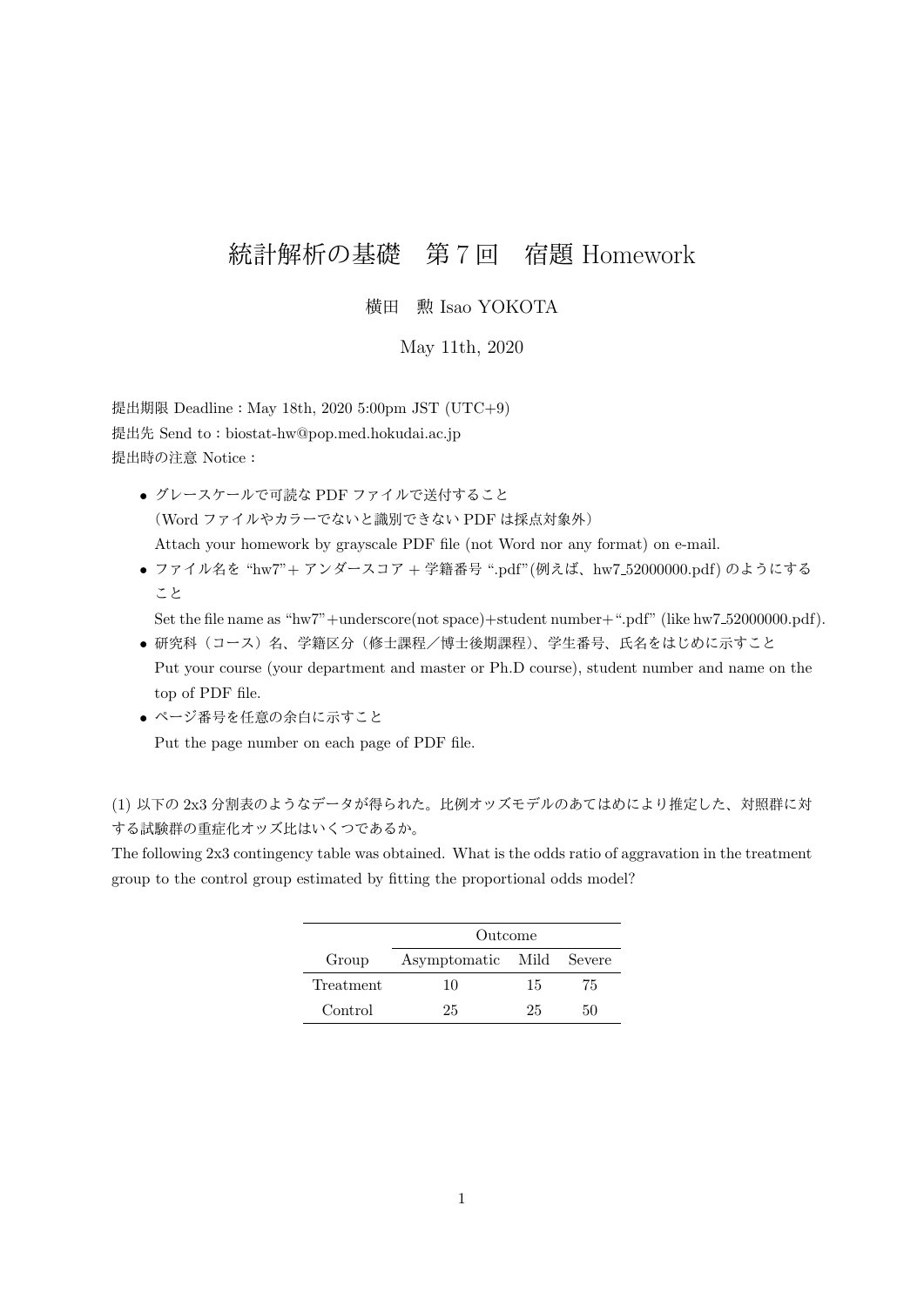## 統計解析の基礎 第7回 宿題 Homework

## 横田 勲 Isao YOKOTA

May 11th, 2020

提出期限 Deadline: May 18th,  $2020$  5:00pm JST (UTC+9) 提出先 Send to: biostat-hw@pop.med.hokudai.ac.jp 提出時の注意 Notice:

- グレースケールで可読な PDF ファイルで送付すること (Word ファイルやカラーでないと識別できない PDF は採点対象外) Attach your homework by grayscale PDF file (not Word nor any format) on e-mail.
- **●** ファイル名を "hw7"+ アンダースコア + 学籍番号 ".pdf"(例えば、hw7<sub>-52000000.pdf) のようにする</sub> こと

Set the file name as "hw7" +underscore(not space)+student number+".pdf" (like hw7.52000000.pdf).

- 研究科 (コース) 名、学籍区分(修士課程/博士後期課程)、学生番号、氏名をはじめに示すこと Put your course (your department and master or Ph.D course), student number and name on the top of PDF file.
- ページ番号を任意の余白に示すこと Put the page number on each page of PDF file.

(1) 以下の 2x3 分割表のようなデータが得られた。比例オッズモデルのあてはめにより推定した、対照群に対 する試験群の重症化オッズ比はいくつであるか。

The following 2x3 contingency table was obtained. What is the odds ratio of aggravation in the treatment group to the control group estimated by fitting the proportional odds model?

|           | Outcome                  |    |    |
|-----------|--------------------------|----|----|
| Group     | Asymptomatic Mild Severe |    |    |
| Treatment | 10                       | 15 | 75 |
| Control   | 25                       | 25 | 50 |